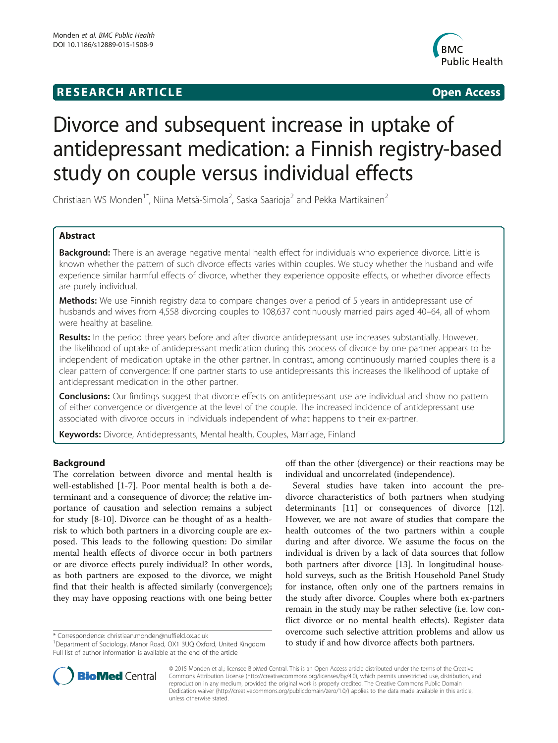# **RESEARCH ARTICLE Example 2014 12:30 The SEAR CHIPS 2014 12:30 The Open Access**



# Divorce and subsequent increase in uptake of antidepressant medication: a Finnish registry-based study on couple versus individual effects

Christiaan WS Monden<sup>1\*</sup>, Niina Metsä-Simola<sup>2</sup>, Saska Saarioja<sup>2</sup> and Pekka Martikainen<sup>2</sup>

# Abstract

Background: There is an average negative mental health effect for individuals who experience divorce. Little is known whether the pattern of such divorce effects varies within couples. We study whether the husband and wife experience similar harmful effects of divorce, whether they experience opposite effects, or whether divorce effects are purely individual.

Methods: We use Finnish registry data to compare changes over a period of 5 years in antidepressant use of husbands and wives from 4,558 divorcing couples to 108,637 continuously married pairs aged 40–64, all of whom were healthy at baseline.

Results: In the period three years before and after divorce antidepressant use increases substantially. However, the likelihood of uptake of antidepressant medication during this process of divorce by one partner appears to be independent of medication uptake in the other partner. In contrast, among continuously married couples there is a clear pattern of convergence: If one partner starts to use antidepressants this increases the likelihood of uptake of antidepressant medication in the other partner.

**Conclusions:** Our findings suggest that divorce effects on antidepressant use are individual and show no pattern of either convergence or divergence at the level of the couple. The increased incidence of antidepressant use associated with divorce occurs in individuals independent of what happens to their ex-partner.

Keywords: Divorce, Antidepressants, Mental health, Couples, Marriage, Finland

# Background

The correlation between divorce and mental health is well-established [1-7]. Poor mental health is both a determinant and a consequence of divorce; the relative importance of causation and selection remains a subject for study [8-10]. Divorce can be thought of as a healthrisk to which both partners in a divorcing couple are exposed. This leads to the following question: Do similar mental health effects of divorce occur in both partners or are divorce effects purely individual? In other words, as both partners are exposed to the divorce, we might find that their health is affected similarly (convergence); they may have opposing reactions with one being better



Several studies have taken into account the predivorce characteristics of both partners when studying determinants [11] or consequences of divorce [12]. However, we are not aware of studies that compare the health outcomes of the two partners within a couple during and after divorce. We assume the focus on the individual is driven by a lack of data sources that follow both partners after divorce [13]. In longitudinal household surveys, such as the British Household Panel Study for instance, often only one of the partners remains in the study after divorce. Couples where both ex-partners remain in the study may be rather selective (i.e. low conflict divorce or no mental health effects). Register data overcome such selective attrition problems and allow us torrespondence: christiaan.monden@nuffield.ox.ac.uk<br>
<sup>1</sup>Department of Sociology, Manor Road, OX1 3UQ Oxford, United Kingdom **to study if and how divorce affects both partners.** 



© 2015 Monden et al.; licensee BioMed Central. This is an Open Access article distributed under the terms of the Creative Commons Attribution License (http://creativecommons.org/licenses/by/4.0), which permits unrestricted use, distribution, and reproduction in any medium, provided the original work is properly credited. The Creative Commons Public Domain Dedication waiver (http://creativecommons.org/publicdomain/zero/1.0/) applies to the data made available in this article, unless otherwise stated.

<sup>&</sup>lt;sup>1</sup> Department of Sociology, Manor Road, OX1 3UQ Oxford, United Kingdom Full list of author information is available at the end of the article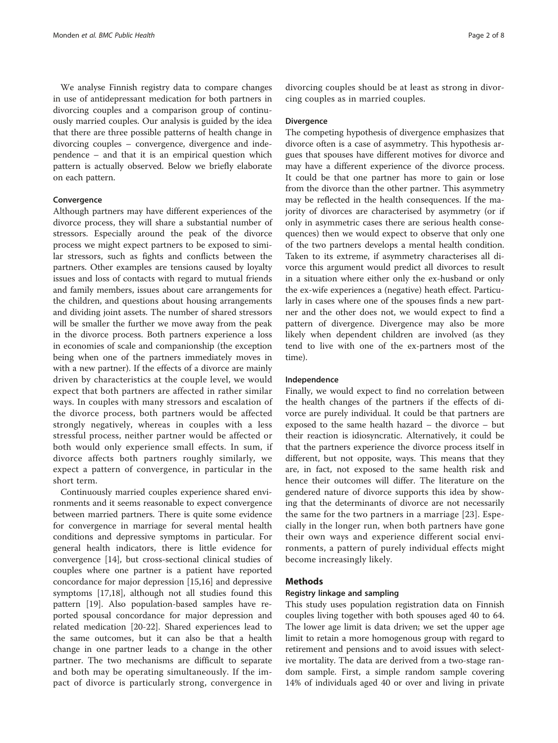We analyse Finnish registry data to compare changes in use of antidepressant medication for both partners in divorcing couples and a comparison group of continuously married couples. Our analysis is guided by the idea that there are three possible patterns of health change in divorcing couples – convergence, divergence and independence – and that it is an empirical question which pattern is actually observed. Below we briefly elaborate on each pattern.

# Convergence

Although partners may have different experiences of the divorce process, they will share a substantial number of stressors. Especially around the peak of the divorce process we might expect partners to be exposed to similar stressors, such as fights and conflicts between the partners. Other examples are tensions caused by loyalty issues and loss of contacts with regard to mutual friends and family members, issues about care arrangements for the children, and questions about housing arrangements and dividing joint assets. The number of shared stressors will be smaller the further we move away from the peak in the divorce process. Both partners experience a loss in economies of scale and companionship (the exception being when one of the partners immediately moves in with a new partner). If the effects of a divorce are mainly driven by characteristics at the couple level, we would expect that both partners are affected in rather similar ways. In couples with many stressors and escalation of the divorce process, both partners would be affected strongly negatively, whereas in couples with a less stressful process, neither partner would be affected or both would only experience small effects. In sum, if divorce affects both partners roughly similarly, we expect a pattern of convergence, in particular in the short term.

Continuously married couples experience shared environments and it seems reasonable to expect convergence between married partners. There is quite some evidence for convergence in marriage for several mental health conditions and depressive symptoms in particular. For general health indicators, there is little evidence for convergence [14], but cross-sectional clinical studies of couples where one partner is a patient have reported concordance for major depression [15,16] and depressive symptoms [17,18], although not all studies found this pattern [19]. Also population-based samples have reported spousal concordance for major depression and related medication [20-22]. Shared experiences lead to the same outcomes, but it can also be that a health change in one partner leads to a change in the other partner. The two mechanisms are difficult to separate and both may be operating simultaneously. If the impact of divorce is particularly strong, convergence in divorcing couples should be at least as strong in divorcing couples as in married couples.

# **Divergence**

The competing hypothesis of divergence emphasizes that divorce often is a case of asymmetry. This hypothesis argues that spouses have different motives for divorce and may have a different experience of the divorce process. It could be that one partner has more to gain or lose from the divorce than the other partner. This asymmetry may be reflected in the health consequences. If the majority of divorces are characterised by asymmetry (or if only in asymmetric cases there are serious health consequences) then we would expect to observe that only one of the two partners develops a mental health condition. Taken to its extreme, if asymmetry characterises all divorce this argument would predict all divorces to result in a situation where either only the ex-husband or only the ex-wife experiences a (negative) heath effect. Particularly in cases where one of the spouses finds a new partner and the other does not, we would expect to find a pattern of divergence. Divergence may also be more likely when dependent children are involved (as they tend to live with one of the ex-partners most of the time).

### Independence

Finally, we would expect to find no correlation between the health changes of the partners if the effects of divorce are purely individual. It could be that partners are exposed to the same health hazard – the divorce – but their reaction is idiosyncratic. Alternatively, it could be that the partners experience the divorce process itself in different, but not opposite, ways. This means that they are, in fact, not exposed to the same health risk and hence their outcomes will differ. The literature on the gendered nature of divorce supports this idea by showing that the determinants of divorce are not necessarily the same for the two partners in a marriage [23]. Especially in the longer run, when both partners have gone their own ways and experience different social environments, a pattern of purely individual effects might become increasingly likely.

# Methods

# Registry linkage and sampling

This study uses population registration data on Finnish couples living together with both spouses aged 40 to 64. The lower age limit is data driven; we set the upper age limit to retain a more homogenous group with regard to retirement and pensions and to avoid issues with selective mortality. The data are derived from a two-stage random sample. First, a simple random sample covering 14% of individuals aged 40 or over and living in private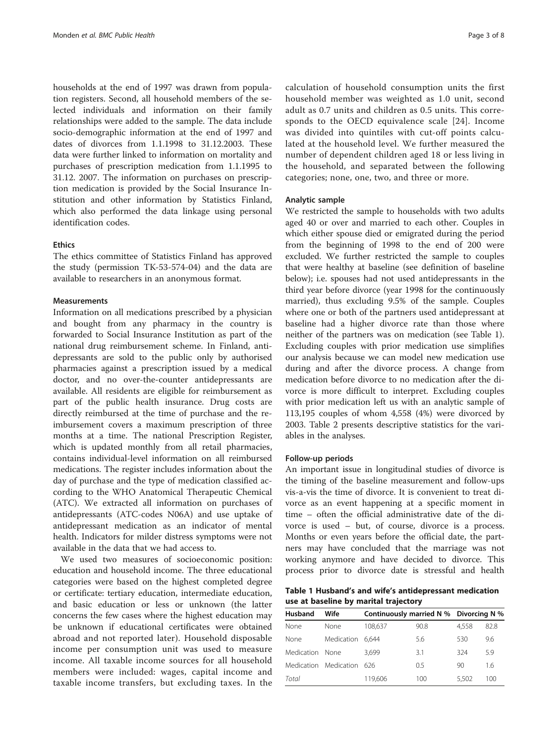households at the end of 1997 was drawn from population registers. Second, all household members of the selected individuals and information on their family relationships were added to the sample. The data include socio-demographic information at the end of 1997 and dates of divorces from 1.1.1998 to 31.12.2003. These data were further linked to information on mortality and purchases of prescription medication from 1.1.1995 to 31.12. 2007. The information on purchases on prescription medication is provided by the Social Insurance Institution and other information by Statistics Finland, which also performed the data linkage using personal identification codes.

#### **Ethics**

The ethics committee of Statistics Finland has approved the study (permission TK-53-574-04) and the data are available to researchers in an anonymous format.

#### **Measurements**

Information on all medications prescribed by a physician and bought from any pharmacy in the country is forwarded to Social Insurance Institution as part of the national drug reimbursement scheme. In Finland, antidepressants are sold to the public only by authorised pharmacies against a prescription issued by a medical doctor, and no over-the-counter antidepressants are available. All residents are eligible for reimbursement as part of the public health insurance. Drug costs are directly reimbursed at the time of purchase and the reimbursement covers a maximum prescription of three months at a time. The national Prescription Register, which is updated monthly from all retail pharmacies, contains individual-level information on all reimbursed medications. The register includes information about the day of purchase and the type of medication classified according to the WHO Anatomical Therapeutic Chemical (ATC). We extracted all information on purchases of antidepressants (ATC-codes N06A) and use uptake of antidepressant medication as an indicator of mental health. Indicators for milder distress symptoms were not available in the data that we had access to.

We used two measures of socioeconomic position: education and household income. The three educational categories were based on the highest completed degree or certificate: tertiary education, intermediate education, and basic education or less or unknown (the latter concerns the few cases where the highest education may be unknown if educational certificates were obtained abroad and not reported later). Household disposable income per consumption unit was used to measure income. All taxable income sources for all household members were included: wages, capital income and taxable income transfers, but excluding taxes. In the

calculation of household consumption units the first household member was weighted as 1.0 unit, second adult as 0.7 units and children as 0.5 units. This corresponds to the OECD equivalence scale [24]. Income was divided into quintiles with cut-off points calculated at the household level. We further measured the number of dependent children aged 18 or less living in the household, and separated between the following categories; none, one, two, and three or more.

#### Analytic sample

We restricted the sample to households with two adults aged 40 or over and married to each other. Couples in which either spouse died or emigrated during the period from the beginning of 1998 to the end of 200 were excluded. We further restricted the sample to couples that were healthy at baseline (see definition of baseline below); i.e. spouses had not used antidepressants in the third year before divorce (year 1998 for the continuously married), thus excluding 9.5% of the sample. Couples where one or both of the partners used antidepressant at baseline had a higher divorce rate than those where neither of the partners was on medication (see Table 1). Excluding couples with prior medication use simplifies our analysis because we can model new medication use during and after the divorce process. A change from medication before divorce to no medication after the divorce is more difficult to interpret. Excluding couples with prior medication left us with an analytic sample of 113,195 couples of whom 4,558 (4%) were divorced by 2003. Table 2 presents descriptive statistics for the variables in the analyses.

#### Follow-up periods

An important issue in longitudinal studies of divorce is the timing of the baseline measurement and follow-ups vis-a-vis the time of divorce. It is convenient to treat divorce as an event happening at a specific moment in time – often the official administrative date of the divorce is used – but, of course, divorce is a process. Months or even years before the official date, the partners may have concluded that the marriage was not working anymore and have decided to divorce. This process prior to divorce date is stressful and health

Table 1 Husband's and wife's antidepressant medication use at baseline by marital trajectory

| Husband         | Wife                  |         | Continuously married N % Divorcing N % |       |      |
|-----------------|-----------------------|---------|----------------------------------------|-------|------|
| None            | None                  | 108.637 | 90.8                                   | 4.558 | 82.8 |
| None            | Medication            | 6.644   | 5.6                                    | 530   | 9.6  |
| Medication None |                       | 3.699   | 3.1                                    | 324   | 5.9  |
|                 | Medication Medication | 626     | 0.5                                    | 90    | 1.6  |
| Total           |                       | 119.606 | 100                                    | 5.502 | 100  |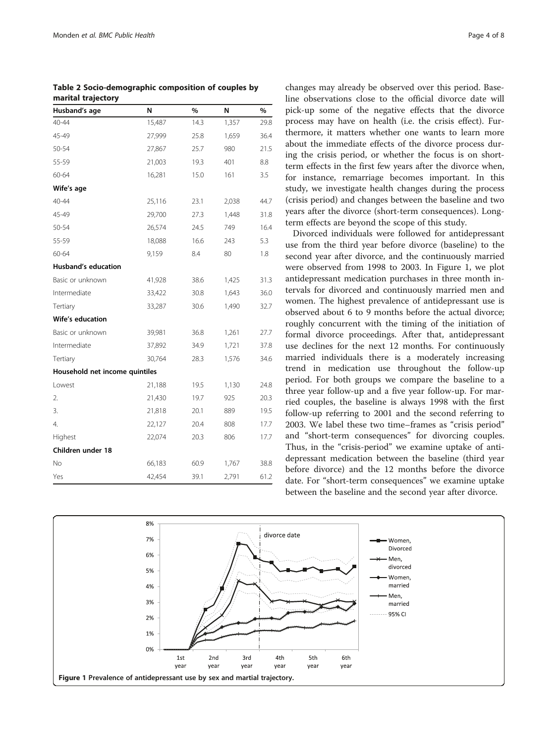| Husband's age                  | N      | $\%$ | N     | %    |  |  |  |  |  |
|--------------------------------|--------|------|-------|------|--|--|--|--|--|
| $40 - 44$                      | 15,487 | 14.3 | 1,357 | 29.8 |  |  |  |  |  |
| 45-49                          | 27,999 | 25.8 | 1,659 | 36.4 |  |  |  |  |  |
| 50-54                          | 27,867 | 25.7 | 980   | 21.5 |  |  |  |  |  |
| 55-59                          | 21,003 | 19.3 | 401   | 8.8  |  |  |  |  |  |
| 60-64                          | 16,281 | 15.0 | 161   | 3.5  |  |  |  |  |  |
| Wife's age                     |        |      |       |      |  |  |  |  |  |
| $40 - 44$                      | 25,116 | 23.1 | 2,038 | 44.7 |  |  |  |  |  |
| 45-49                          | 29,700 | 27.3 | 1,448 | 31.8 |  |  |  |  |  |
| $50 - 54$                      | 26,574 | 24.5 | 749   | 16.4 |  |  |  |  |  |
| 55-59                          | 18,088 | 16.6 | 243   | 5.3  |  |  |  |  |  |
| 60-64                          | 9,159  | 8.4  | 80    | 1.8  |  |  |  |  |  |
| <b>Husband's education</b>     |        |      |       |      |  |  |  |  |  |
| Basic or unknown               | 41,928 | 38.6 | 1,425 | 31.3 |  |  |  |  |  |
| Intermediate                   | 33,422 | 30.8 | 1,643 | 36.0 |  |  |  |  |  |
| Tertiary                       | 33,287 | 30.6 | 1,490 | 32.7 |  |  |  |  |  |
| Wife's education               |        |      |       |      |  |  |  |  |  |
| Basic or unknown               | 39,981 | 36.8 | 1,261 | 27.7 |  |  |  |  |  |
| Intermediate                   | 37,892 | 34.9 | 1,721 | 37.8 |  |  |  |  |  |
| Tertiary                       | 30,764 | 28.3 | 1,576 | 34.6 |  |  |  |  |  |
| Household net income quintiles |        |      |       |      |  |  |  |  |  |
| Lowest                         | 21,188 | 19.5 | 1,130 | 24.8 |  |  |  |  |  |
| 2.                             | 21,430 | 19.7 | 925   | 20.3 |  |  |  |  |  |
| 3.                             | 21,818 | 20.1 | 889   | 19.5 |  |  |  |  |  |
| 4.                             | 22,127 | 20.4 | 808   | 17.7 |  |  |  |  |  |
| Highest                        | 22,074 | 20.3 | 806   | 17.7 |  |  |  |  |  |
| Children under 18              |        |      |       |      |  |  |  |  |  |
| No                             | 66,183 | 60.9 | 1,767 | 38.8 |  |  |  |  |  |
| Yes                            | 42,454 | 39.1 | 2,791 | 61.2 |  |  |  |  |  |

Table 2 Socio-demographic composition of couples by marital trajectory

changes may already be observed over this period. Baseline observations close to the official divorce date will pick-up some of the negative effects that the divorce process may have on health (i.e. the crisis effect). Furthermore, it matters whether one wants to learn more about the immediate effects of the divorce process during the crisis period, or whether the focus is on shortterm effects in the first few years after the divorce when, for instance, remarriage becomes important. In this study, we investigate health changes during the process (crisis period) and changes between the baseline and two years after the divorce (short-term consequences). Longterm effects are beyond the scope of this study.

Divorced individuals were followed for antidepressant use from the third year before divorce (baseline) to the second year after divorce, and the continuously married were observed from 1998 to 2003. In Figure 1, we plot antidepressant medication purchases in three month intervals for divorced and continuously married men and women. The highest prevalence of antidepressant use is observed about 6 to 9 months before the actual divorce; roughly concurrent with the timing of the initiation of formal divorce proceedings. After that, antidepressant use declines for the next 12 months. For continuously married individuals there is a moderately increasing trend in medication use throughout the follow-up period. For both groups we compare the baseline to a three year follow-up and a five year follow-up. For married couples, the baseline is always 1998 with the first follow-up referring to 2001 and the second referring to 2003. We label these two time–frames as "crisis period" and "short-term consequences" for divorcing couples. Thus, in the "crisis-period" we examine uptake of antidepressant medication between the baseline (third year before divorce) and the 12 months before the divorce date. For "short-term consequences" we examine uptake between the baseline and the second year after divorce.

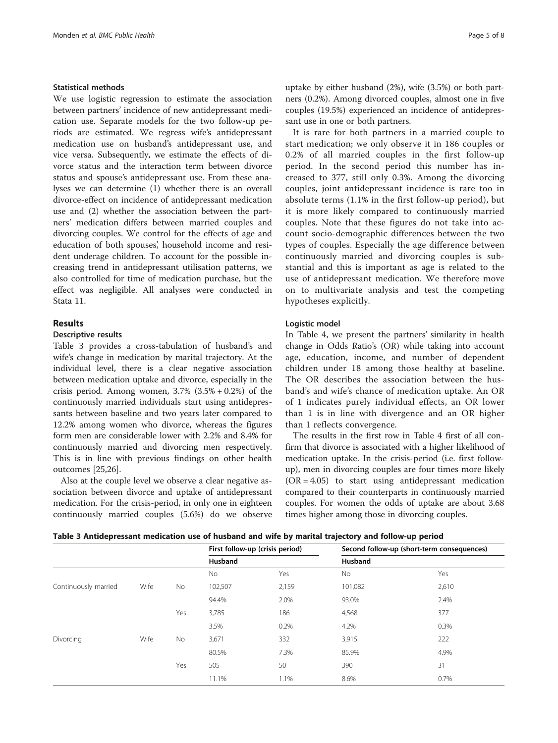# Statistical methods

We use logistic regression to estimate the association between partners' incidence of new antidepressant medication use. Separate models for the two follow-up periods are estimated. We regress wife's antidepressant medication use on husband's antidepressant use, and vice versa. Subsequently, we estimate the effects of divorce status and the interaction term between divorce status and spouse's antidepressant use. From these analyses we can determine (1) whether there is an overall divorce-effect on incidence of antidepressant medication use and (2) whether the association between the partners' medication differs between married couples and divorcing couples. We control for the effects of age and education of both spouses', household income and resident underage children. To account for the possible increasing trend in antidepressant utilisation patterns, we also controlled for time of medication purchase, but the effect was negligible. All analyses were conducted in Stata 11.

# Results

#### Descriptive results

Table 3 provides a cross-tabulation of husband's and wife's change in medication by marital trajectory. At the individual level, there is a clear negative association between medication uptake and divorce, especially in the crisis period. Among women,  $3.7\%$   $(3.5\% + 0.2\%)$  of the continuously married individuals start using antidepressants between baseline and two years later compared to 12.2% among women who divorce, whereas the figures form men are considerable lower with 2.2% and 8.4% for continuously married and divorcing men respectively. This is in line with previous findings on other health outcomes [25,26].

Also at the couple level we observe a clear negative association between divorce and uptake of antidepressant medication. For the crisis-period, in only one in eighteen continuously married couples (5.6%) do we observe

uptake by either husband (2%), wife (3.5%) or both partners (0.2%). Among divorced couples, almost one in five couples (19.5%) experienced an incidence of antidepressant use in one or both partners.

It is rare for both partners in a married couple to start medication; we only observe it in 186 couples or 0.2% of all married couples in the first follow-up period. In the second period this number has increased to 377, still only 0.3%. Among the divorcing couples, joint antidepressant incidence is rare too in absolute terms (1.1% in the first follow-up period), but it is more likely compared to continuously married couples. Note that these figures do not take into account socio-demographic differences between the two types of couples. Especially the age difference between continuously married and divorcing couples is substantial and this is important as age is related to the use of antidepressant medication. We therefore move on to multivariate analysis and test the competing hypotheses explicitly.

#### Logistic model

In Table 4, we present the partners' similarity in health change in Odds Ratio's (OR) while taking into account age, education, income, and number of dependent children under 18 among those healthy at baseline. The OR describes the association between the husband's and wife's chance of medication uptake. An OR of 1 indicates purely individual effects, an OR lower than 1 is in line with divergence and an OR higher than 1 reflects convergence.

The results in the first row in Table 4 first of all confirm that divorce is associated with a higher likelihood of medication uptake. In the crisis-period (i.e. first followup), men in divorcing couples are four times more likely  $(OR = 4.05)$  to start using antidepressant medication compared to their counterparts in continuously married couples. For women the odds of uptake are about 3.68 times higher among those in divorcing couples.

| Table 3 Antidepressant medication use of husband and wife by marital trajectory and follow-up period |  |  |
|------------------------------------------------------------------------------------------------------|--|--|
|------------------------------------------------------------------------------------------------------|--|--|

|                      |      |     | First follow-up (crisis period) |       | Second follow-up (short-term consequences) |       |  |  |
|----------------------|------|-----|---------------------------------|-------|--------------------------------------------|-------|--|--|
|                      |      |     | Husband                         |       | Husband                                    |       |  |  |
|                      |      |     | <b>No</b>                       | Yes   | No                                         | Yes   |  |  |
| Continuously married | Wife | No  | 102,507                         | 2,159 | 101,082                                    | 2,610 |  |  |
|                      |      |     | 94.4%                           | 2.0%  | 93.0%                                      | 2.4%  |  |  |
|                      |      | Yes | 3,785                           | 186   | 4,568                                      | 377   |  |  |
|                      |      |     | 3.5%                            | 0.2%  | 4.2%                                       | 0.3%  |  |  |
| Divorcing            | Wife | No  | 3,671                           | 332   | 3,915                                      | 222   |  |  |
|                      |      |     | 80.5%                           | 7.3%  | 85.9%                                      | 4.9%  |  |  |
|                      |      | Yes | 505                             | 50    | 390                                        | 31    |  |  |
|                      |      |     | 11.1%                           | 1.1%  | 8.6%                                       | 0.7%  |  |  |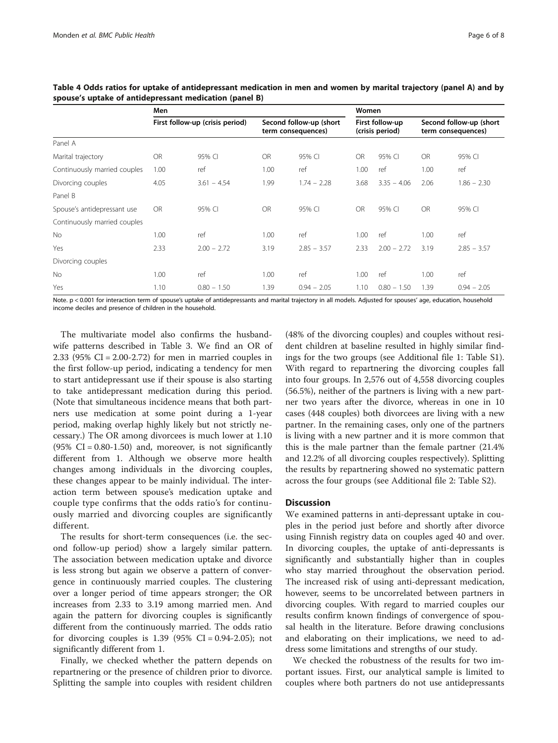|                              | Men                             |               |                                               |               |                                    | Women         |                                               |               |  |
|------------------------------|---------------------------------|---------------|-----------------------------------------------|---------------|------------------------------------|---------------|-----------------------------------------------|---------------|--|
|                              | First follow-up (crisis period) |               | Second follow-up (short<br>term consequences) |               | First follow-up<br>(crisis period) |               | Second follow-up (short<br>term consequences) |               |  |
| Panel A                      |                                 |               |                                               |               |                                    |               |                                               |               |  |
| Marital trajectory           | OR.                             | 95% CI        | <b>OR</b>                                     | 95% CI        | <b>OR</b>                          | 95% CI        | <b>OR</b>                                     | 95% CI        |  |
| Continuously married couples | 1.00                            | ref           | 1.00                                          | ref           | 1.00                               | ref           | 1.00                                          | ref           |  |
| Divorcing couples            | 4.05                            | $3.61 - 4.54$ | 1.99                                          | $1.74 - 2.28$ | 3.68                               | $3.35 - 4.06$ | 2.06                                          | $1.86 - 2.30$ |  |
| Panel B                      |                                 |               |                                               |               |                                    |               |                                               |               |  |
| Spouse's antidepressant use  | <b>OR</b>                       | 95% CI        | <b>OR</b>                                     | 95% CI        | <b>OR</b>                          | 95% CI        | <b>OR</b>                                     | 95% CI        |  |
| Continuously married couples |                                 |               |                                               |               |                                    |               |                                               |               |  |
| No.                          | 1.00                            | ref           | 1.00                                          | ref           | 1.00                               | ref           | 1.00                                          | ref           |  |
| Yes                          | 2.33                            | $2.00 - 2.72$ | 3.19                                          | $2.85 - 3.57$ | 2.33                               | $2.00 - 2.72$ | 3.19                                          | $2.85 - 3.57$ |  |
| Divorcing couples            |                                 |               |                                               |               |                                    |               |                                               |               |  |
| No                           | 1.00                            | ref           | 1.00                                          | ref           | 1.00                               | ref           | 1.00                                          | ref           |  |
| Yes                          | 1.10                            | $0.80 - 1.50$ | 1.39                                          | $0.94 - 2.05$ | 1.10                               | $0.80 - 1.50$ | 1.39                                          | $0.94 - 2.05$ |  |

Table 4 Odds ratios for uptake of antidepressant medication in men and women by marital trajectory (panel A) and by spouse's uptake of antidepressant medication (panel B)

Note. p < 0.001 for interaction term of spouse's uptake of antidepressants and marital trajectory in all models. Adjusted for spouses' age, education, household income deciles and presence of children in the household.

The multivariate model also confirms the husbandwife patterns described in Table 3. We find an OR of 2.33 (95% CI = 2.00-2.72) for men in married couples in the first follow-up period, indicating a tendency for men to start antidepressant use if their spouse is also starting to take antidepressant medication during this period. (Note that simultaneous incidence means that both partners use medication at some point during a 1-year period, making overlap highly likely but not strictly necessary.) The OR among divorcees is much lower at 1.10  $(95\% \text{ CI} = 0.80 - 1.50)$  and, moreover, is not significantly different from 1. Although we observe more health changes among individuals in the divorcing couples, these changes appear to be mainly individual. The interaction term between spouse's medication uptake and couple type confirms that the odds ratio's for continuously married and divorcing couples are significantly different.

The results for short-term consequences (i.e. the second follow-up period) show a largely similar pattern. The association between medication uptake and divorce is less strong but again we observe a pattern of convergence in continuously married couples. The clustering over a longer period of time appears stronger; the OR increases from 2.33 to 3.19 among married men. And again the pattern for divorcing couples is significantly different from the continuously married. The odds ratio for divorcing couples is  $1.39$  (95% CI = 0.94-2.05); not significantly different from 1.

Finally, we checked whether the pattern depends on repartnering or the presence of children prior to divorce. Splitting the sample into couples with resident children (48% of the divorcing couples) and couples without resident children at baseline resulted in highly similar findings for the two groups (see Additional file 1: Table S1). With regard to repartnering the divorcing couples fall into four groups. In 2,576 out of 4,558 divorcing couples (56.5%), neither of the partners is living with a new partner two years after the divorce, whereas in one in 10 cases (448 couples) both divorcees are living with a new partner. In the remaining cases, only one of the partners is living with a new partner and it is more common that this is the male partner than the female partner (21.4% and 12.2% of all divorcing couples respectively). Splitting the results by repartnering showed no systematic pattern across the four groups (see Additional file 2: Table S2).

# **Discussion**

We examined patterns in anti-depressant uptake in couples in the period just before and shortly after divorce using Finnish registry data on couples aged 40 and over. In divorcing couples, the uptake of anti-depressants is significantly and substantially higher than in couples who stay married throughout the observation period. The increased risk of using anti-depressant medication, however, seems to be uncorrelated between partners in divorcing couples. With regard to married couples our results confirm known findings of convergence of spousal health in the literature. Before drawing conclusions and elaborating on their implications, we need to address some limitations and strengths of our study.

We checked the robustness of the results for two important issues. First, our analytical sample is limited to couples where both partners do not use antidepressants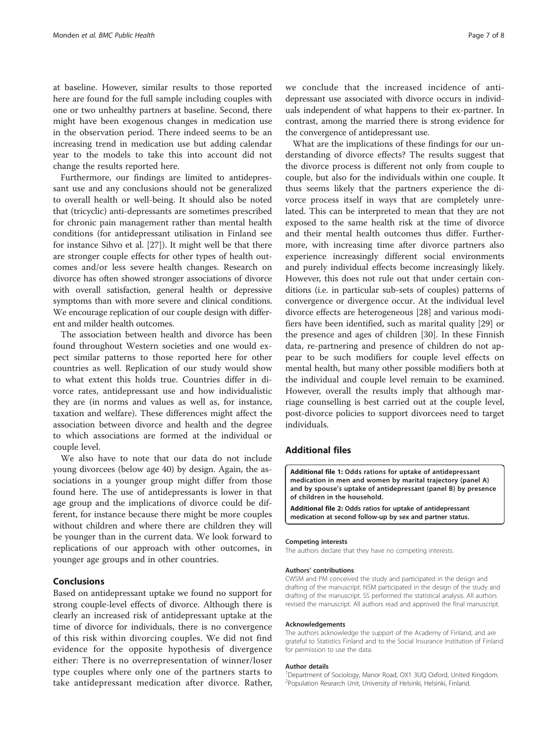at baseline. However, similar results to those reported here are found for the full sample including couples with one or two unhealthy partners at baseline. Second, there might have been exogenous changes in medication use in the observation period. There indeed seems to be an increasing trend in medication use but adding calendar year to the models to take this into account did not change the results reported here.

Furthermore, our findings are limited to antidepressant use and any conclusions should not be generalized to overall health or well-being. It should also be noted that (tricyclic) anti-depressants are sometimes prescribed for chronic pain management rather than mental health conditions (for antidepressant utilisation in Finland see for instance Sihvo et al. [27]). It might well be that there are stronger couple effects for other types of health outcomes and/or less severe health changes. Research on divorce has often showed stronger associations of divorce with overall satisfaction, general health or depressive symptoms than with more severe and clinical conditions. We encourage replication of our couple design with different and milder health outcomes.

The association between health and divorce has been found throughout Western societies and one would expect similar patterns to those reported here for other countries as well. Replication of our study would show to what extent this holds true. Countries differ in divorce rates, antidepressant use and how individualistic they are (in norms and values as well as, for instance, taxation and welfare). These differences might affect the association between divorce and health and the degree to which associations are formed at the individual or couple level.

We also have to note that our data do not include young divorcees (below age 40) by design. Again, the associations in a younger group might differ from those found here. The use of antidepressants is lower in that age group and the implications of divorce could be different, for instance because there might be more couples without children and where there are children they will be younger than in the current data. We look forward to replications of our approach with other outcomes, in younger age groups and in other countries.

# Conclusions

Based on antidepressant uptake we found no support for strong couple-level effects of divorce. Although there is clearly an increased risk of antidepressant uptake at the time of divorce for individuals, there is no convergence of this risk within divorcing couples. We did not find evidence for the opposite hypothesis of divergence either: There is no overrepresentation of winner/loser type couples where only one of the partners starts to take antidepressant medication after divorce. Rather, we conclude that the increased incidence of antidepressant use associated with divorce occurs in individuals independent of what happens to their ex-partner. In contrast, among the married there is strong evidence for the convergence of antidepressant use.

What are the implications of these findings for our understanding of divorce effects? The results suggest that the divorce process is different not only from couple to couple, but also for the individuals within one couple. It thus seems likely that the partners experience the divorce process itself in ways that are completely unrelated. This can be interpreted to mean that they are not exposed to the same health risk at the time of divorce and their mental health outcomes thus differ. Furthermore, with increasing time after divorce partners also experience increasingly different social environments and purely individual effects become increasingly likely. However, this does not rule out that under certain conditions (i.e. in particular sub-sets of couples) patterns of convergence or divergence occur. At the individual level divorce effects are heterogeneous [28] and various modifiers have been identified, such as marital quality [29] or the presence and ages of children [30]. In these Finnish data, re-partnering and presence of children do not appear to be such modifiers for couple level effects on mental health, but many other possible modifiers both at the individual and couple level remain to be examined. However, overall the results imply that although marriage counselling is best carried out at the couple level, post-divorce policies to support divorcees need to target individuals.

# Additional files

Additional file 1: Odds rations for uptake of antidepressant medication in men and women by marital trajectory (panel A) and by spouse's uptake of antidepressant (panel B) by presence of children in the household.

Additional file 2: Odds ratios for uptake of antidepressant medication at second follow-up by sex and partner status.

#### Competing interests

The authors declare that they have no competing interests.

#### Authors' contributions

CWSM and PM conceived the study and participated in the design and drafting of the manuscript. NSM participated in the design of the study and drafting of the manuscript. SS performed the statistical analysis. All authors revised the manuscript. All authors read and approved the final manuscript.

#### Acknowledgements

The authors acknowledge the support of the Academy of Finland, and are grateful to Statistics Finland and to the Social Insurance Institution of Finland for permission to use the data.

#### Author details

1 Department of Sociology, Manor Road, OX1 3UQ Oxford, United Kingdom. 2 Population Research Unit, University of Helsinki, Helsinki, Finland.